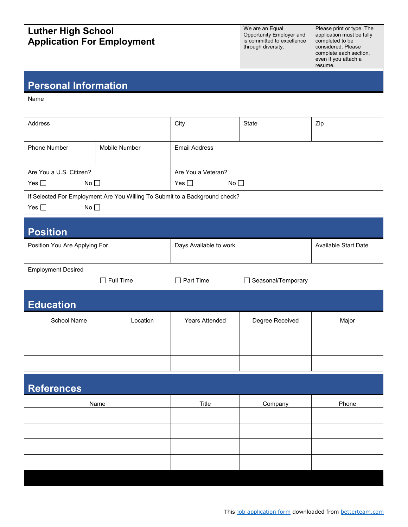## **Luther High School Application For Employment**

We are an Equal Opportunity Employer and is committed to excellence through diversity.

Please print or type. The application must be fully completed to be considered. Please complete each section, even if you attach a resume.

## **Personal Information**

Name

| Address                                                                     |                  | City                          | State                              | Zip                  |  |  |
|-----------------------------------------------------------------------------|------------------|-------------------------------|------------------------------------|----------------------|--|--|
| Phone Number                                                                | Mobile Number    | <b>Email Address</b>          |                                    |                      |  |  |
| Are You a U.S. Citizen?                                                     |                  | Are You a Veteran?            |                                    |                      |  |  |
| No <sub>1</sub><br>Yes $\square$                                            |                  | No $\square$<br>Yes $\square$ |                                    |                      |  |  |
| If Selected For Employment Are You Willing To Submit to a Background check? |                  |                               |                                    |                      |  |  |
| Yes $\square$<br>No <sub>1</sub>                                            |                  |                               |                                    |                      |  |  |
|                                                                             |                  |                               |                                    |                      |  |  |
| <b>Position</b>                                                             |                  |                               |                                    |                      |  |  |
| Position You Are Applying For                                               |                  | Days Available to work        |                                    | Available Start Date |  |  |
|                                                                             |                  |                               |                                    |                      |  |  |
| <b>Employment Desired</b>                                                   |                  |                               |                                    |                      |  |  |
|                                                                             | $\Box$ Full Time | $\Box$ Part Time              | Seasonal/Temporary<br>$\mathsf{L}$ |                      |  |  |
| <b>Education</b>                                                            |                  |                               |                                    |                      |  |  |
| School Name                                                                 | Location         | Years Attended                | Degree Received                    | Major                |  |  |
|                                                                             |                  |                               |                                    |                      |  |  |
|                                                                             |                  |                               |                                    |                      |  |  |
|                                                                             |                  |                               |                                    |                      |  |  |
| <b>References</b>                                                           |                  |                               |                                    |                      |  |  |
| Name                                                                        |                  | Title                         | Company                            | Phone                |  |  |
|                                                                             |                  |                               |                                    |                      |  |  |
|                                                                             |                  |                               |                                    |                      |  |  |
|                                                                             |                  |                               |                                    |                      |  |  |
|                                                                             |                  |                               |                                    |                      |  |  |
|                                                                             |                  |                               |                                    |                      |  |  |